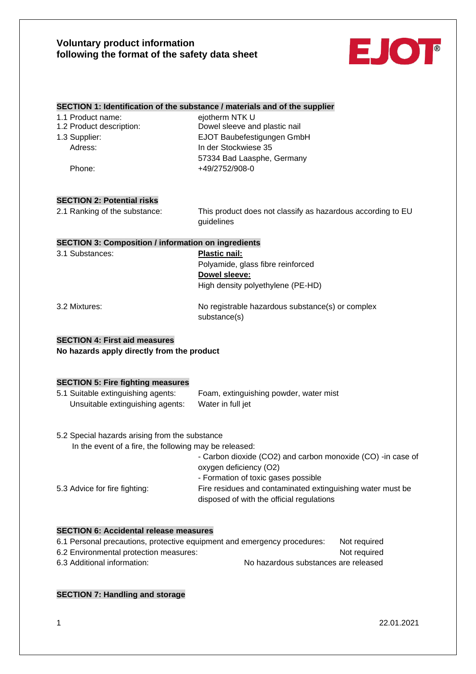

#### **SECTION 1: Identification of the substance / materials and of the supplier**

| 1.1 Product name:        | ejotherm NTK U                |
|--------------------------|-------------------------------|
| 1.2 Product description: | Dowel sleeve and plastic nail |
| 1.3 Supplier:            | EJOT Baubefestigungen GmbH    |
| Adress:                  | In der Stockwiese 35          |
|                          | 57334 Bad Laasphe, Germany    |
| Phone:                   | +49/2752/908-0                |
|                          |                               |

### **SECTION 2: Potential risks**

2.1 Ranking of the substance: This product does not classify as hazardous according to EU guidelines

#### **SECTION 3: Composition / information on ingredients**

| 3.1 Substances: | <b>Plastic nail:</b>                                             |
|-----------------|------------------------------------------------------------------|
|                 | Polyamide, glass fibre reinforced                                |
|                 | Dowel sleeve:                                                    |
|                 | High density polyethylene (PE-HD)                                |
| 3.2 Mixtures:   | No registrable hazardous substance(s) or complex<br>substance(s) |

#### **SECTION 4: First aid measures**

**No hazards apply directly from the product**

### **SECTION 5: Fire fighting measures**

| 5.1 Suitable extinguishing agents: | Foam, extinguishing powder, water mist |
|------------------------------------|----------------------------------------|
| Unsuitable extinguishing agents:   | Water in full jet                      |

5.2 Special hazards arising from the substance

| In the event of a fire, the following may be released:       |
|--------------------------------------------------------------|
| - Carbon dioxide (CO2) and carbon monoxide (CO) - in case of |
| oxygen deficiency (O2)                                       |
| - Formation of toxic gases possible                          |
| Fire residues and contaminated extinguishing water must be   |
| disposed of with the official regulations                    |
|                                                              |

#### **SECTION 6: Accidental release measures**

| 6.1 Personal precautions, protective equipment and emergency procedures: | Not required                         |
|--------------------------------------------------------------------------|--------------------------------------|
| 6.2 Environmental protection measures:                                   | Not required                         |
| 6.3 Additional information:                                              | No hazardous substances are released |

### **SECTION 7: Handling and storage**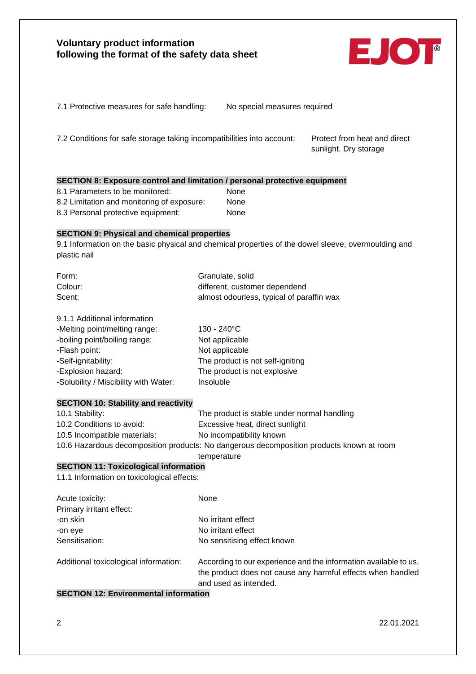

7.2 Conditions for safe storage taking incompatibilities into account: Protect from heat and direct

sunlight. Dry storage

## **SECTION 8: Exposure control and limitation / personal protective equipment**

- 8.1 Parameters to be monitored: None 8.2 Limitation and monitoring of exposure: None 8.3 Personal protective equipment: None
- 

## **SECTION 9: Physical and chemical properties**

9.1 Information on the basic physical and chemical properties of the dowel sleeve, overmoulding and plastic nail

| Form:   | Granulate, solid                          |
|---------|-------------------------------------------|
| Colour: | different, customer dependend             |
| Scent:  | almost odourless, typical of paraffin wax |

## 9.1.1 Additional information

| -Melting point/melting range:         | 130 - 240°C                      |
|---------------------------------------|----------------------------------|
| -boiling point/boiling range:         | Not applicable                   |
| -Flash point:                         | Not applicable                   |
| -Self-ignitability:                   | The product is not self-igniting |
| -Explosion hazard:                    | The product is not explosive     |
| -Solubility / Miscibility with Water: | Insoluble                        |

### **SECTION 10: Stability and reactivity**

| 10.1 Stability:              | The product is stable under normal handling                                                                   |
|------------------------------|---------------------------------------------------------------------------------------------------------------|
| 10.2 Conditions to avoid:    | Excessive heat, direct sunlight                                                                               |
| 10.5 Incompatible materials: | No incompatibility known                                                                                      |
|                              | 40.0 lists and the state of the state of the Microsoft and the state of the state of the late in the state of |

10.6 Hazardous decomposition products: No dangerous decomposition products known at room

#### temperature

# **SECTION 11: Toxicological information**

11.1 Information on toxicological effects:

| Acute toxicity:                       | None                                                                                                                                                     |
|---------------------------------------|----------------------------------------------------------------------------------------------------------------------------------------------------------|
| Primary irritant effect:              |                                                                                                                                                          |
| -on skin                              | No irritant effect                                                                                                                                       |
| -on eye                               | No irritant effect                                                                                                                                       |
| Sensitisation:                        | No sensitising effect known                                                                                                                              |
| Additional toxicological information: | According to our experience and the information available to us,<br>the product does not cause any harmful effects when handled<br>and used as intended. |

## **SECTION 12: Environmental information**

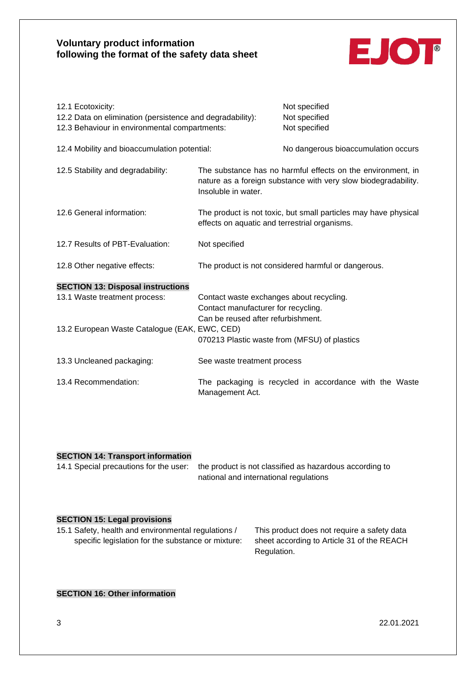

| 12.1 Ecotoxicity:<br>12.2 Data on elimination (persistence and degradability):<br>12.3 Behaviour in environmental compartments: |                                                                                                                       | Not specified<br>Not specified<br>Not specified                                                                               |
|---------------------------------------------------------------------------------------------------------------------------------|-----------------------------------------------------------------------------------------------------------------------|-------------------------------------------------------------------------------------------------------------------------------|
| 12.4 Mobility and bioaccumulation potential:                                                                                    |                                                                                                                       | No dangerous bioaccumulation occurs                                                                                           |
| 12.5 Stability and degradability:                                                                                               | Insoluble in water.                                                                                                   | The substance has no harmful effects on the environment, in<br>nature as a foreign substance with very slow biodegradability. |
| 12.6 General information:                                                                                                       | effects on aquatic and terrestrial organisms.                                                                         | The product is not toxic, but small particles may have physical                                                               |
| 12.7 Results of PBT-Evaluation:                                                                                                 | Not specified                                                                                                         |                                                                                                                               |
| 12.8 Other negative effects:                                                                                                    |                                                                                                                       | The product is not considered harmful or dangerous.                                                                           |
| <b>SECTION 13: Disposal instructions</b><br>13.1 Waste treatment process:                                                       | Contact waste exchanges about recycling.<br>Contact manufacturer for recycling.<br>Can be reused after refurbishment. |                                                                                                                               |
| 13.2 European Waste Catalogue (EAK, EWC, CED)                                                                                   | 070213 Plastic waste from (MFSU) of plastics                                                                          |                                                                                                                               |
| 13.3 Uncleaned packaging:                                                                                                       | See waste treatment process                                                                                           |                                                                                                                               |
| 13.4 Recommendation:                                                                                                            | Management Act.                                                                                                       | The packaging is recycled in accordance with the Waste                                                                        |

#### **SECTION 14: Transport information**

14.1 Special precautions for the user: the product is not classified as hazardous according to national and international regulations

#### **SECTION 15: Legal provisions**

15.1 Safety, health and environmental regulations / This product does not require a safety data specific legislation for the substance or mixture: sheet according to Article 31 of the REACH

Regulation.

## **SECTION 16: Other information**